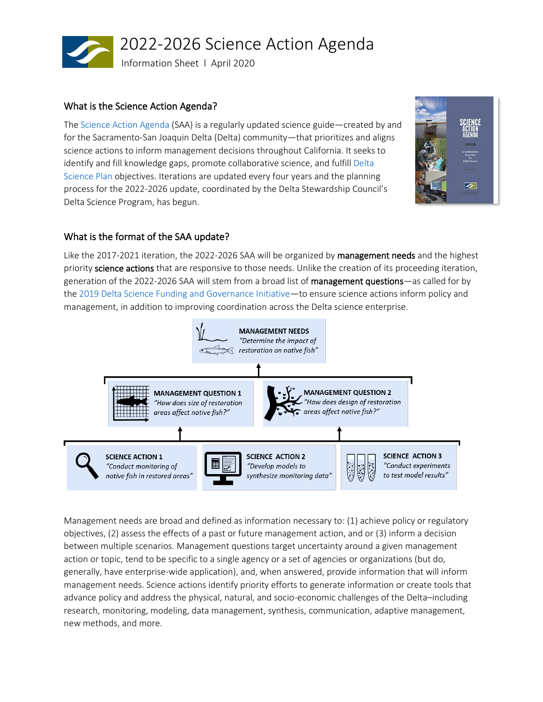

# What is the Science Action Agenda?

 The [Science Action Agenda](https://scienceactionagenda.deltacouncil.ca.gov/) (SAA) is a regularly updated science guide—created by and [Science Plan](https://deltascienceplan.deltacouncil.ca.gov/) objectives. Iterations are updated every four years and the planning process for the 2022-2026 update, coordinated by the Delta Stewardship Council's for the Sacramento-San Joaquin Delta (Delta) community—that prioritizes and aligns science actions to inform management decisions throughout California. It seeks to identify and fill knowledge gaps, promote collaborative science, and fulfil[l Delta](https://deltascienceplan.deltacouncil.ca.gov/)  Delta Science Program, has begun.



# What is the format of the SAA update?

 the [2019 Delta Science Funding and Governance Initiative](https://www.deltacouncil.ca.gov/pdf/dpiic/meeting-materials/2020-03-03-final-dsfgi.pdf)—to ensure science actions inform policy and management, in addition to improving coordination across the Delta science enterprise. Like the 2017-2021 iteration, the 2022-2026 SAA will be organized by management needs and the highest priority science actions that are responsive to those needs. Unlike the creation of its proceeding iteration, generation of the 2022-2026 SAA will stem from a broad list of management questions—as called for by



 Management needs are broad and defined as information necessary to: (1) achieve policy or regulatory between multiple scenarios. Management questions target uncertainty around a given management research, monitoring, modeling, data management, synthesis, communication, adaptive management, objectives, (2) assess the effects of a past or future management action, and or (3) inform a decision action or topic, tend to be specific to a single agency or a set of agencies or organizations (but do, generally, have enterprise-wide application), and, when answered, provide information that will inform management needs. Science actions identify priority efforts to generate information or create tools that advance policy and address the physical, natural, and socio-economic challenges of the Delta–including new methods, and more.